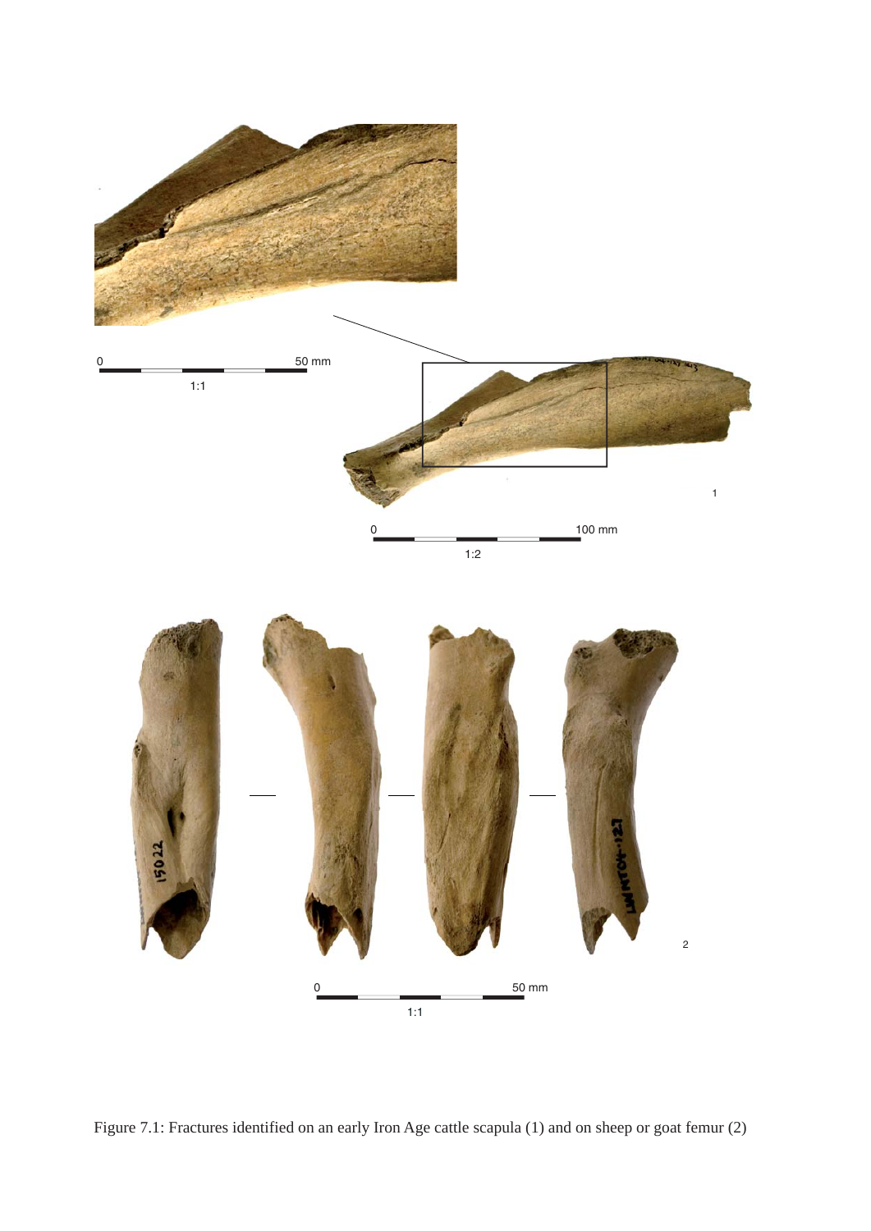

Figure 7.1: Fractures identified on an early Iron Age cattle scapula (1) and on sheep or goat femur (2)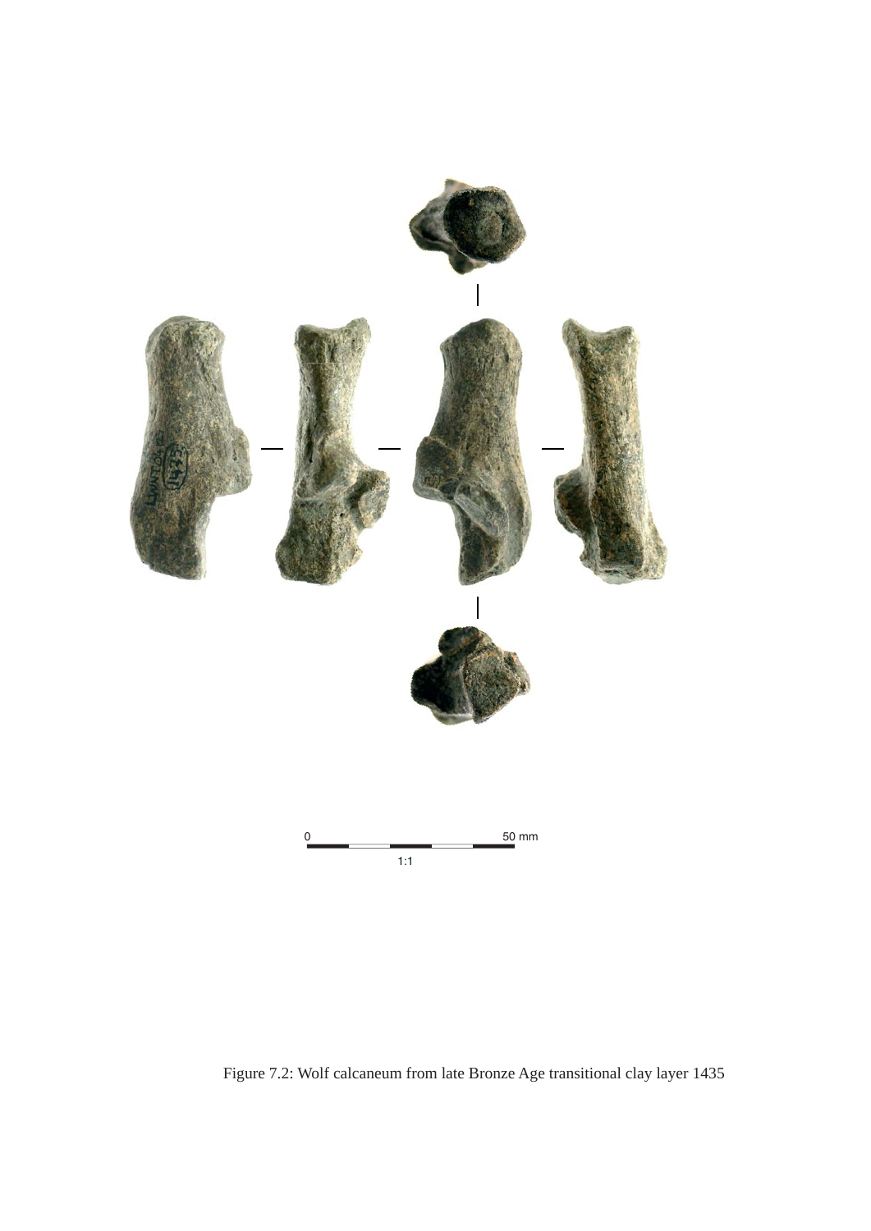

Figure 7.2: Wolf calcaneum from late Bronze Age transitional clay layer 1435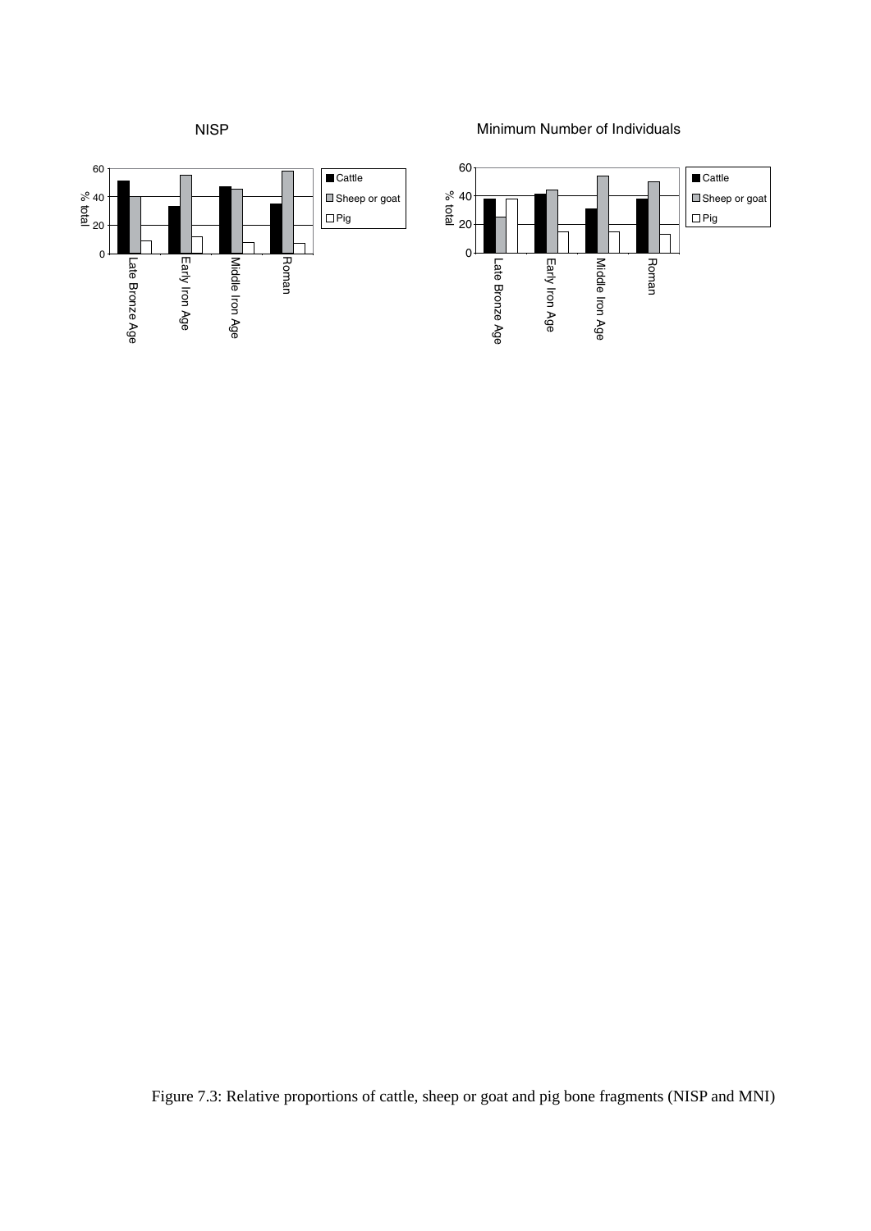

Minimum Number of Individuals



Figure 7.3: Relative proportions of cattle, sheep or goat and pig bone fragments (NISP and MNI)